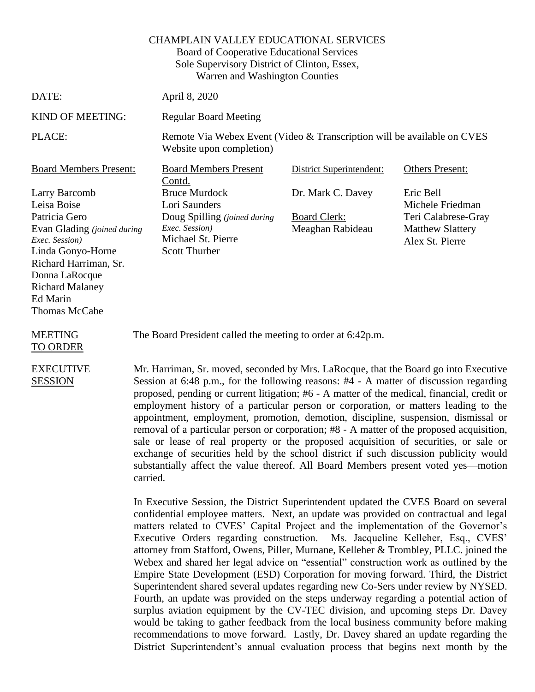|                                                                                                                                                                                                                       | <b>CHAMPLAIN VALLEY EDUCATIONAL SERVICES</b><br>Board of Cooperative Educational Services<br>Sole Supervisory District of Clinton, Essex,<br>Warren and Washington Counties                                                                                                                                                      |                                                              |                                                                                                    |
|-----------------------------------------------------------------------------------------------------------------------------------------------------------------------------------------------------------------------|----------------------------------------------------------------------------------------------------------------------------------------------------------------------------------------------------------------------------------------------------------------------------------------------------------------------------------|--------------------------------------------------------------|----------------------------------------------------------------------------------------------------|
| DATE:                                                                                                                                                                                                                 | April 8, 2020                                                                                                                                                                                                                                                                                                                    |                                                              |                                                                                                    |
| KIND OF MEETING:                                                                                                                                                                                                      | <b>Regular Board Meeting</b>                                                                                                                                                                                                                                                                                                     |                                                              |                                                                                                    |
| PLACE:                                                                                                                                                                                                                | Remote Via Webex Event (Video & Transcription will be available on CVES<br>Website upon completion)                                                                                                                                                                                                                              |                                                              |                                                                                                    |
| <b>Board Members Present:</b>                                                                                                                                                                                         | <b>Board Members Present</b><br>Contd.                                                                                                                                                                                                                                                                                           | District Superintendent:                                     | <b>Others Present:</b>                                                                             |
| Larry Barcomb<br>Leisa Boise<br>Patricia Gero<br>Evan Glading (joined during<br>Exec. Session)<br>Linda Gonyo-Horne<br>Richard Harriman, Sr.<br>Donna LaRocque<br><b>Richard Malaney</b><br>Ed Marin<br>Thomas McCabe | <b>Bruce Murdock</b><br>Lori Saunders<br>Doug Spilling (joined during<br>Exec. Session)<br>Michael St. Pierre<br><b>Scott Thurber</b>                                                                                                                                                                                            | Dr. Mark C. Davey<br><b>Board Clerk:</b><br>Meaghan Rabideau | Eric Bell<br>Michele Friedman<br>Teri Calabrese-Gray<br><b>Matthew Slattery</b><br>Alex St. Pierre |
| <b>MEETING</b><br><b>TO ORDER</b>                                                                                                                                                                                     | The Board President called the meeting to order at 6:42p.m.                                                                                                                                                                                                                                                                      |                                                              |                                                                                                    |
| <b>EXECUTIVE</b><br><b>SESSION</b>                                                                                                                                                                                    | Mr. Harriman, Sr. moved, seconded by Mrs. LaRocque, that the Board go into Executive<br>Session at 6:48 p.m., for the following reasons: #4 - A matter of discussion regarding<br>$\mathcal{L}(A)$ and $A$ are considered that $\mathcal{L}(A)$ and $\mathcal{L}(A)$ are considered that $A$ are constanting the constant of $A$ |                                                              |                                                                                                    |

proposed, pending or current litigation; #6 - A matter of the medical, financial, credit or employment history of a particular person or corporation, or matters leading to the appointment, employment, promotion, demotion, discipline, suspension, dismissal or removal of a particular person or corporation; #8 - A matter of the proposed acquisition, sale or lease of real property or the proposed acquisition of securities, or sale or exchange of securities held by the school district if such discussion publicity would substantially affect the value thereof. All Board Members present voted yes—motion carried.

In Executive Session, the District Superintendent updated the CVES Board on several confidential employee matters. Next, an update was provided on contractual and legal matters related to CVES' Capital Project and the implementation of the Governor's Executive Orders regarding construction. Ms. Jacqueline Kelleher, Esq., CVES' attorney from Stafford, Owens, Piller, Murnane, Kelleher & Trombley, PLLC. joined the Webex and shared her legal advice on "essential" construction work as outlined by the Empire State Development (ESD) Corporation for moving forward. Third, the District Superintendent shared several updates regarding new Co-Sers under review by NYSED. Fourth, an update was provided on the steps underway regarding a potential action of surplus aviation equipment by the CV-TEC division, and upcoming steps Dr. Davey would be taking to gather feedback from the local business community before making recommendations to move forward. Lastly, Dr. Davey shared an update regarding the District Superintendent's annual evaluation process that begins next month by the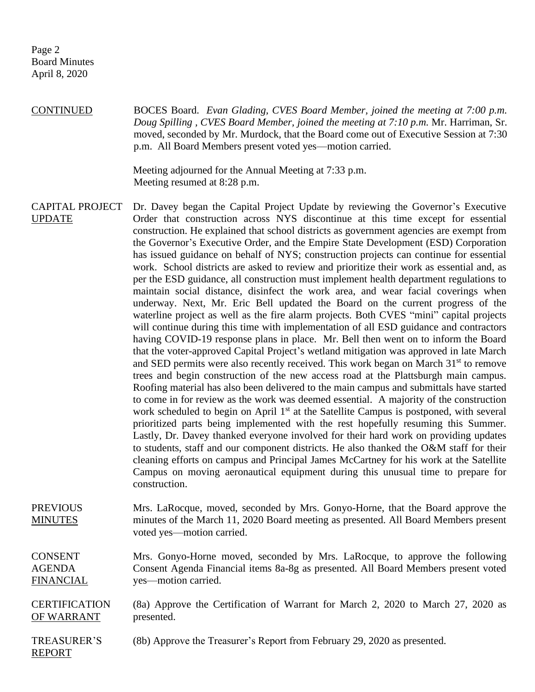REPORT

CONTINUED BOCES Board. *Evan Glading, CVES Board Member, joined the meeting at 7:00 p.m. Doug Spilling , CVES Board Member, joined the meeting at 7:10 p.m.* Mr. Harriman, Sr. moved, seconded by Mr. Murdock, that the Board come out of Executive Session at 7:30 p.m. All Board Members present voted yes—motion carried.

> Meeting adjourned for the Annual Meeting at 7:33 p.m. Meeting resumed at 8:28 p.m.

CAPITAL PROJECT UPDATE Dr. Davey began the Capital Project Update by reviewing the Governor's Executive Order that construction across NYS discontinue at this time except for essential construction. He explained that school districts as government agencies are exempt from the Governor's Executive Order, and the Empire State Development (ESD) Corporation has issued guidance on behalf of NYS; construction projects can continue for essential work. School districts are asked to review and prioritize their work as essential and, as per the ESD guidance, all construction must implement health department regulations to maintain social distance, disinfect the work area, and wear facial coverings when underway. Next, Mr. Eric Bell updated the Board on the current progress of the waterline project as well as the fire alarm projects. Both CVES "mini" capital projects will continue during this time with implementation of all ESD guidance and contractors having COVID-19 response plans in place. Mr. Bell then went on to inform the Board that the voter-approved Capital Project's wetland mitigation was approved in late March and SED permits were also recently received. This work began on March  $31<sup>st</sup>$  to remove trees and begin construction of the new access road at the Plattsburgh main campus. Roofing material has also been delivered to the main campus and submittals have started to come in for review as the work was deemed essential. A majority of the construction work scheduled to begin on April 1<sup>st</sup> at the Satellite Campus is postponed, with several prioritized parts being implemented with the rest hopefully resuming this Summer. Lastly, Dr. Davey thanked everyone involved for their hard work on providing updates to students, staff and our component districts. He also thanked the O&M staff for their cleaning efforts on campus and Principal James McCartney for his work at the Satellite Campus on moving aeronautical equipment during this unusual time to prepare for construction. PREVIOUS Mrs. LaRocque, moved, seconded by Mrs. Gonyo-Horne, that the Board approve the

**MINUTES** minutes of the March 11, 2020 Board meeting as presented. All Board Members present voted yes—motion carried.

CONSENT AGENDA FINANCIAL Mrs. Gonyo-Horne moved, seconded by Mrs. LaRocque, to approve the following Consent Agenda Financial items 8a-8g as presented. All Board Members present voted yes—motion carried.

**CERTIFICATION** OF WARRANT (8a) Approve the Certification of Warrant for March 2, 2020 to March 27, 2020 as presented.

TREASURER'S (8b) Approve the Treasurer's Report from February 29, 2020 as presented.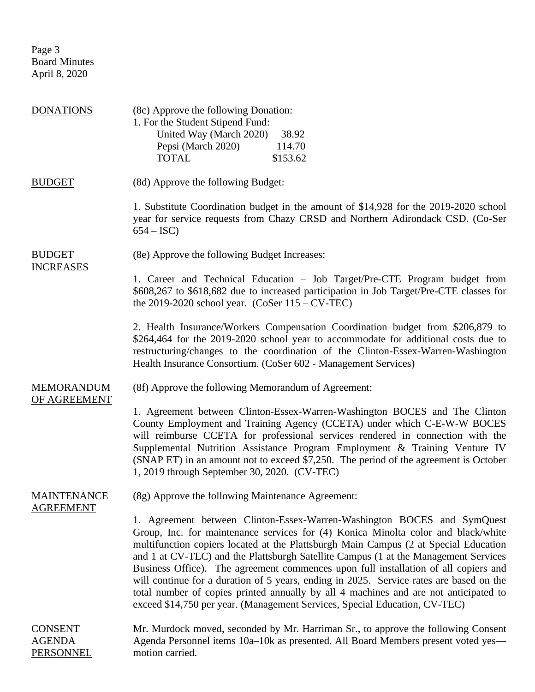Page 3 Board Minutes April 8, 2020

| <b>DONATIONS</b>                                    | (8c) Approve the following Donation:<br>1. For the Student Stipend Fund:<br>United Way (March 2020)<br>38.92<br>Pepsi (March 2020)<br><u>114.70</u><br><b>TOTAL</b><br>\$153.62                                                                                                                                                                                                                                                                                                                                                                                                                                                                                                                     |
|-----------------------------------------------------|-----------------------------------------------------------------------------------------------------------------------------------------------------------------------------------------------------------------------------------------------------------------------------------------------------------------------------------------------------------------------------------------------------------------------------------------------------------------------------------------------------------------------------------------------------------------------------------------------------------------------------------------------------------------------------------------------------|
| <b>BUDGET</b>                                       | (8d) Approve the following Budget:                                                                                                                                                                                                                                                                                                                                                                                                                                                                                                                                                                                                                                                                  |
|                                                     | 1. Substitute Coordination budget in the amount of \$14,928 for the 2019-2020 school<br>year for service requests from Chazy CRSD and Northern Adirondack CSD. (Co-Ser<br>$654 - ISC$                                                                                                                                                                                                                                                                                                                                                                                                                                                                                                               |
| <b>BUDGET</b><br><b>INCREASES</b>                   | (8e) Approve the following Budget Increases:                                                                                                                                                                                                                                                                                                                                                                                                                                                                                                                                                                                                                                                        |
|                                                     | 1. Career and Technical Education - Job Target/Pre-CTE Program budget from<br>\$608,267 to \$618,682 due to increased participation in Job Target/Pre-CTE classes for<br>the 2019-2020 school year. $(CoSer 115 - CV-TEC)$                                                                                                                                                                                                                                                                                                                                                                                                                                                                          |
|                                                     | 2. Health Insurance/Workers Compensation Coordination budget from \$206,879 to<br>\$264,464 for the 2019-2020 school year to accommodate for additional costs due to<br>restructuring/changes to the coordination of the Clinton-Essex-Warren-Washington<br>Health Insurance Consortium. (CoSer 602 - Management Services)                                                                                                                                                                                                                                                                                                                                                                          |
| <b>MEMORANDUM</b><br>OF AGREEMENT                   | (8f) Approve the following Memorandum of Agreement:                                                                                                                                                                                                                                                                                                                                                                                                                                                                                                                                                                                                                                                 |
|                                                     | 1. Agreement between Clinton-Essex-Warren-Washington BOCES and The Clinton<br>County Employment and Training Agency (CCETA) under which C-E-W-W BOCES<br>will reimburse CCETA for professional services rendered in connection with the<br>Supplemental Nutrition Assistance Program Employment & Training Venture IV<br>(SNAP ET) in an amount not to exceed \$7,250. The period of the agreement is October<br>1, 2019 through September 30, 2020. (CV-TEC)                                                                                                                                                                                                                                       |
| <b>MAINTENANCE</b><br><b>AGREEMENT</b>              | (8g) Approve the following Maintenance Agreement:                                                                                                                                                                                                                                                                                                                                                                                                                                                                                                                                                                                                                                                   |
|                                                     | 1. Agreement between Clinton-Essex-Warren-Washington BOCES and SymQuest<br>Group, Inc. for maintenance services for (4) Konica Minolta color and black/white<br>multifunction copiers located at the Plattsburgh Main Campus (2 at Special Education<br>and 1 at CV-TEC) and the Plattsburgh Satellite Campus (1 at the Management Services<br>Business Office). The agreement commences upon full installation of all copiers and<br>will continue for a duration of 5 years, ending in 2025. Service rates are based on the<br>total number of copies printed annually by all 4 machines and are not anticipated to<br>exceed \$14,750 per year. (Management Services, Special Education, CV-TEC) |
| <b>CONSENT</b><br><b>AGENDA</b><br><b>PERSONNEL</b> | Mr. Murdock moved, seconded by Mr. Harriman Sr., to approve the following Consent<br>Agenda Personnel items 10a-10k as presented. All Board Members present voted yes—<br>motion carried.                                                                                                                                                                                                                                                                                                                                                                                                                                                                                                           |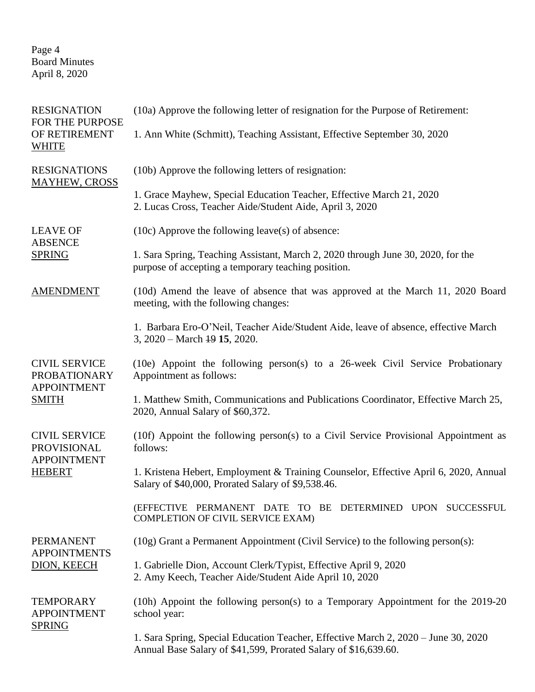Page 4 Board Minutes April 8, 2020

| <b>RESIGNATION</b><br>FOR THE PURPOSE                                             | (10a) Approve the following letter of resignation for the Purpose of Retirement:                                                                      |
|-----------------------------------------------------------------------------------|-------------------------------------------------------------------------------------------------------------------------------------------------------|
| OF RETIREMENT<br><b>WHITE</b>                                                     | 1. Ann White (Schmitt), Teaching Assistant, Effective September 30, 2020                                                                              |
| <b>RESIGNATIONS</b><br><b>MAYHEW, CROSS</b>                                       | (10b) Approve the following letters of resignation:                                                                                                   |
|                                                                                   | 1. Grace Mayhew, Special Education Teacher, Effective March 21, 2020<br>2. Lucas Cross, Teacher Aide/Student Aide, April 3, 2020                      |
| <b>LEAVE OF</b><br><b>ABSENCE</b><br><b>SPRING</b>                                | $(10c)$ Approve the following leave(s) of absence:                                                                                                    |
|                                                                                   | 1. Sara Spring, Teaching Assistant, March 2, 2020 through June 30, 2020, for the<br>purpose of accepting a temporary teaching position.               |
| <b>AMENDMENT</b>                                                                  | (10d) Amend the leave of absence that was approved at the March 11, 2020 Board<br>meeting, with the following changes:                                |
|                                                                                   | 1. Barbara Ero-O'Neil, Teacher Aide/Student Aide, leave of absence, effective March<br>3, $2020 - March 49$ 15, $2020$ .                              |
| <b>CIVIL SERVICE</b><br><b>PROBATIONARY</b><br><b>APPOINTMENT</b><br><b>SMITH</b> | $(10e)$ Appoint the following person(s) to a 26-week Civil Service Probationary<br>Appointment as follows:                                            |
|                                                                                   | 1. Matthew Smith, Communications and Publications Coordinator, Effective March 25,<br>2020, Annual Salary of \$60,372.                                |
| <b>CIVIL SERVICE</b><br><b>PROVISIONAL</b><br><b>APPOINTMENT</b><br><b>HEBERT</b> | (10f) Appoint the following person(s) to a Civil Service Provisional Appointment as<br>follows:                                                       |
|                                                                                   | 1. Kristena Hebert, Employment & Training Counselor, Effective April 6, 2020, Annual<br>Salary of \$40,000, Prorated Salary of \$9,538.46.            |
|                                                                                   | (EFFECTIVE PERMANENT DATE TO BE DETERMINED UPON SUCCESSFUL<br><b>COMPLETION OF CIVIL SERVICE EXAM)</b>                                                |
| <b>PERMANENT</b><br><b>APPOINTMENTS</b><br>DION, KEECH                            | (10g) Grant a Permanent Appointment (Civil Service) to the following person(s):                                                                       |
|                                                                                   | 1. Gabrielle Dion, Account Clerk/Typist, Effective April 9, 2020<br>2. Amy Keech, Teacher Aide/Student Aide April 10, 2020                            |
| <b>TEMPORARY</b><br><b>APPOINTMENT</b><br><b>SPRING</b>                           | (10h) Appoint the following person(s) to a Temporary Appointment for the $2019-20$<br>school year:                                                    |
|                                                                                   | 1. Sara Spring, Special Education Teacher, Effective March 2, 2020 – June 30, 2020<br>Annual Base Salary of \$41,599, Prorated Salary of \$16,639.60. |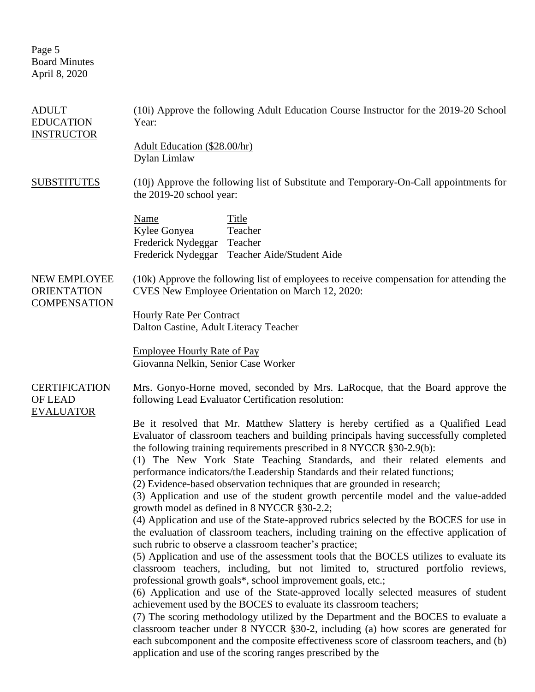Page 5 Board Minutes April 8, 2020

| <b>ADULT</b><br><b>EDUCATION</b><br><b>INSTRUCTOR</b>     | (10i) Approve the following Adult Education Course Instructor for the 2019-20 School<br>Year:                                                                                                                                                                                                                                                                                                                                                                                                                                                                                                                                                                                                                                                                                                                                                                                                                                                                                                                                                                                                                                                                                                                                                                                                                                                                                                                                                                                                                                                                         |  |  |
|-----------------------------------------------------------|-----------------------------------------------------------------------------------------------------------------------------------------------------------------------------------------------------------------------------------------------------------------------------------------------------------------------------------------------------------------------------------------------------------------------------------------------------------------------------------------------------------------------------------------------------------------------------------------------------------------------------------------------------------------------------------------------------------------------------------------------------------------------------------------------------------------------------------------------------------------------------------------------------------------------------------------------------------------------------------------------------------------------------------------------------------------------------------------------------------------------------------------------------------------------------------------------------------------------------------------------------------------------------------------------------------------------------------------------------------------------------------------------------------------------------------------------------------------------------------------------------------------------------------------------------------------------|--|--|
|                                                           | Adult Education (\$28.00/hr)<br>Dylan Limlaw                                                                                                                                                                                                                                                                                                                                                                                                                                                                                                                                                                                                                                                                                                                                                                                                                                                                                                                                                                                                                                                                                                                                                                                                                                                                                                                                                                                                                                                                                                                          |  |  |
| <b>SUBSTITUTES</b>                                        | (10j) Approve the following list of Substitute and Temporary-On-Call appointments for<br>the 2019-20 school year:                                                                                                                                                                                                                                                                                                                                                                                                                                                                                                                                                                                                                                                                                                                                                                                                                                                                                                                                                                                                                                                                                                                                                                                                                                                                                                                                                                                                                                                     |  |  |
|                                                           | <b>Name</b><br>Title<br>Kylee Gonyea<br>Teacher<br>Frederick Nydeggar Teacher<br>Frederick Nydeggar<br>Teacher Aide/Student Aide                                                                                                                                                                                                                                                                                                                                                                                                                                                                                                                                                                                                                                                                                                                                                                                                                                                                                                                                                                                                                                                                                                                                                                                                                                                                                                                                                                                                                                      |  |  |
| NEW EMPLOYEE<br><b>ORIENTATION</b><br><b>COMPENSATION</b> | (10k) Approve the following list of employees to receive compensation for attending the<br>CVES New Employee Orientation on March 12, 2020:                                                                                                                                                                                                                                                                                                                                                                                                                                                                                                                                                                                                                                                                                                                                                                                                                                                                                                                                                                                                                                                                                                                                                                                                                                                                                                                                                                                                                           |  |  |
|                                                           | <b>Hourly Rate Per Contract</b><br>Dalton Castine, Adult Literacy Teacher                                                                                                                                                                                                                                                                                                                                                                                                                                                                                                                                                                                                                                                                                                                                                                                                                                                                                                                                                                                                                                                                                                                                                                                                                                                                                                                                                                                                                                                                                             |  |  |
|                                                           | <b>Employee Hourly Rate of Pay</b><br>Giovanna Nelkin, Senior Case Worker                                                                                                                                                                                                                                                                                                                                                                                                                                                                                                                                                                                                                                                                                                                                                                                                                                                                                                                                                                                                                                                                                                                                                                                                                                                                                                                                                                                                                                                                                             |  |  |
| <b>CERTIFICATION</b><br><b>OF LEAD</b>                    | Mrs. Gonyo-Horne moved, seconded by Mrs. LaRocque, that the Board approve the<br>following Lead Evaluator Certification resolution:                                                                                                                                                                                                                                                                                                                                                                                                                                                                                                                                                                                                                                                                                                                                                                                                                                                                                                                                                                                                                                                                                                                                                                                                                                                                                                                                                                                                                                   |  |  |
| <b>EVALUATOR</b>                                          | Be it resolved that Mr. Matthew Slattery is hereby certified as a Qualified Lead<br>Evaluator of classroom teachers and building principals having successfully completed<br>the following training requirements prescribed in 8 NYCCR §30-2.9(b):<br>(1) The New York State Teaching Standards, and their related elements and<br>performance indicators/the Leadership Standards and their related functions;<br>(2) Evidence-based observation techniques that are grounded in research;<br>(3) Application and use of the student growth percentile model and the value-added<br>growth model as defined in 8 NYCCR §30-2.2;<br>(4) Application and use of the State-approved rubrics selected by the BOCES for use in<br>the evaluation of classroom teachers, including training on the effective application of<br>such rubric to observe a classroom teacher's practice;<br>(5) Application and use of the assessment tools that the BOCES utilizes to evaluate its<br>classroom teachers, including, but not limited to, structured portfolio reviews,<br>professional growth goals*, school improvement goals, etc.;<br>(6) Application and use of the State-approved locally selected measures of student<br>achievement used by the BOCES to evaluate its classroom teachers;<br>(7) The scoring methodology utilized by the Department and the BOCES to evaluate a<br>classroom teacher under $8$ NYCCR $\S 30-2$ , including (a) how scores are generated for<br>each subcomponent and the composite effectiveness score of classroom teachers, and (b) |  |  |
|                                                           | application and use of the scoring ranges prescribed by the                                                                                                                                                                                                                                                                                                                                                                                                                                                                                                                                                                                                                                                                                                                                                                                                                                                                                                                                                                                                                                                                                                                                                                                                                                                                                                                                                                                                                                                                                                           |  |  |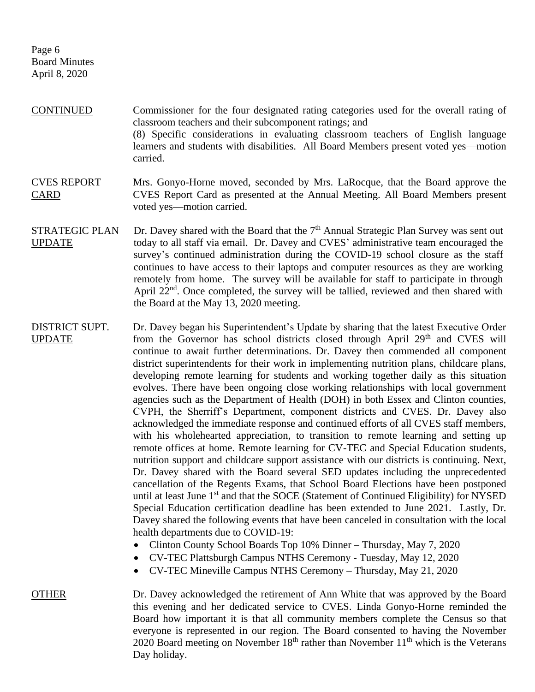Page 6 Board Minutes April 8, 2020

- CONTINUED Commissioner for the four designated rating categories used for the overall rating of classroom teachers and their subcomponent ratings; and (8) Specific considerations in evaluating classroom teachers of English language learners and students with disabilities. All Board Members present voted yes—motion carried.
- CVES REPORT CARD Mrs. Gonyo-Horne moved, seconded by Mrs. LaRocque, that the Board approve the CVES Report Card as presented at the Annual Meeting. All Board Members present voted yes—motion carried.
- STRATEGIC PLAN UPDATE Dr. Davey shared with the Board that the  $7<sup>th</sup>$  Annual Strategic Plan Survey was sent out today to all staff via email. Dr. Davey and CVES' administrative team encouraged the survey's continued administration during the COVID-19 school closure as the staff continues to have access to their laptops and computer resources as they are working remotely from home. The survey will be available for staff to participate in through April 22<sup>nd</sup>. Once completed, the survey will be tallied, reviewed and then shared with the Board at the May 13, 2020 meeting.
- DISTRICT SUPT. UPDATE Dr. Davey began his Superintendent's Update by sharing that the latest Executive Order from the Governor has school districts closed through April 29<sup>th</sup> and CVES will continue to await further determinations. Dr. Davey then commended all component district superintendents for their work in implementing nutrition plans, childcare plans, developing remote learning for students and working together daily as this situation evolves. There have been ongoing close working relationships with local government agencies such as the Department of Health (DOH) in both Essex and Clinton counties, CVPH, the Sherriff's Department, component districts and CVES. Dr. Davey also acknowledged the immediate response and continued efforts of all CVES staff members, with his wholehearted appreciation, to transition to remote learning and setting up remote offices at home. Remote learning for CV-TEC and Special Education students, nutrition support and childcare support assistance with our districts is continuing. Next, Dr. Davey shared with the Board several SED updates including the unprecedented cancellation of the Regents Exams, that School Board Elections have been postponed until at least June  $1<sup>st</sup>$  and that the SOCE (Statement of Continued Eligibility) for NYSED Special Education certification deadline has been extended to June 2021. Lastly, Dr. Davey shared the following events that have been canceled in consultation with the local health departments due to COVID-19:
	- Clinton County School Boards Top 10% Dinner Thursday, May 7, 2020
	- CV-TEC Plattsburgh Campus NTHS Ceremony Tuesday, May 12, 2020
	- CV-TEC Mineville Campus NTHS Ceremony Thursday, May 21, 2020

OTHER Dr. Davey acknowledged the retirement of Ann White that was approved by the Board this evening and her dedicated service to CVES. Linda Gonyo-Horne reminded the Board how important it is that all community members complete the Census so that everyone is represented in our region. The Board consented to having the November 2020 Board meeting on November  $18<sup>th</sup>$  rather than November  $11<sup>th</sup>$  which is the Veterans Day holiday.